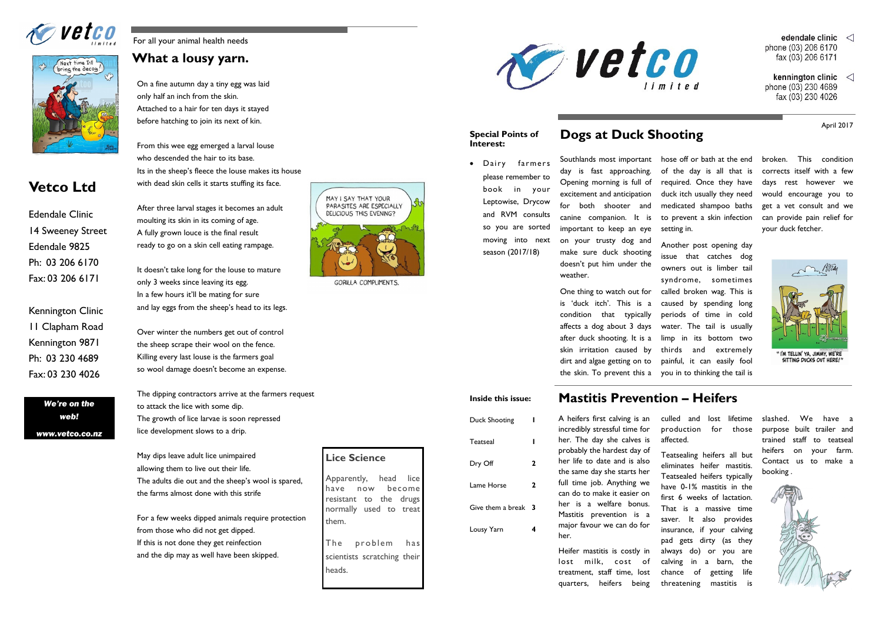For all your animal health needs

## **What a lousy yarn.**





# **Vetco Ltd**

*We're on the web! www.vetco.co.nz*

Edendale Clinic 14 Sweeney Street Edendale 9825 Ph: 03 206 6170 Fax: 03 206 6171

Kennington Clinic 11 Clapham Road Kennington 9871 Ph: 03 230 4689 Fax: 03 230 4026

On a fine autumn day a tiny egg was laid only half an inch from the skin. Attached to a hair for ten days it stayed before hatching to join its next of kin.

From this wee egg emerged a larval louse who descended the hair to its base. Its in the sheep's fleece the louse makes its house with dead skin cells it starts stuffing its face.

After three larval stages it becomes an adult moulting its skin in its coming of age. A fully grown louce is the final result ready to go on a skin cell eating rampage.

It doesn't take long for the louse to mature only 3 weeks since leaving its egg. In a few hours it'll be mating for sure and lay eggs from the sheep's head to its legs.

Over winter the numbers get out of control the sheep scrape their wool on the fence. Killing every last louse is the farmers goal so wool damage doesn't become an expense.

The dipping contractors arrive at the farmers request to attack the lice with some dip. The growth of lice larvae is soon repressed lice development slows to a drip.

May dips leave adult lice unimpaired allowing them to live out their life. The adults die out and the sheep's wool is spared, the farms almost done with this strife

For a few weeks dipped animals require protection from those who did not get dipped. If this is not done they get reinfection and the dip may as well have been skipped.



GORILLA COMPLIMENTS.

**Lice Science**

Apparently, head lice have now become resistant to the drugs normally used to treat

them.

The problem has scientists scratching their



heads.

broken. This condition corrects itself with a few days rest however we would encourage you to get a vet consult and we can provide pain relief for your duck fetcher.



Southlands most important hose off or bath at the end day is fast approaching. Opening morning is full of excitement and anticipation for both shooter and canine companion. It is important to keep an eye on your trusty dog and make sure duck shooting doesn't put him under the weather.

of the day is all that is required. Once they have duck itch usually they need medicated shampoo baths to prevent a skin infection setting in.

One thing to watch out for is 'duck itch'. This is a condition that typically affects a dog about 3 days after duck shooting. It is a skin irritation caused by dirt and algae getting on to the skin. To prevent this a you in to thinking the tail is

Another post opening day issue that catches dog owners out is limber tail syndrome, sometimes called broken wag. This is caused by spending long periods of time in cold water. The tail is usually limp in its bottom two thirds and extremely painful, it can easily fool

# **Dogs at Duck Shooting**

## **Mastitis Prevention – Heifers**



her.

Heifer mastitis is costly in lost milk, cost of treatment, staff time, lost quarters, heifers being

culled and lost lifetime production for those affected.

Teatsealing heifers all but eliminates heifer mastitis. Teatsealed heifers typically have 0-1% mastitis in the first 6 weeks of lactation. That is a massive time saver. It also provides insurance, if your calving pad gets dirty (as they always do) or you are calving in a barn, the chance of getting life threatening mastitis is

- edendale clinic  $\langle \rangle$ phone (03) 206 6170 fax (03) 206 6171
- kennington clinic  $\langle \rangle$ phone (03) 230 4689 fax (03) 230 4026

slashed. We have a purpose built trailer and trained staff to teatseal heifers on your farm. Contact us to make a booking .



April 2017



#### **Special Points of Interest:**

 Dairy farmers please remember to book in your Leptowise, Drycow and RVM consults so you are sorted moving into next season (2017/18)

#### **Inside this issue:**

| <b>Duck Shooting</b> |   |
|----------------------|---|
| Teatseal             |   |
| Dry Off              |   |
| Lame Horse           | 2 |
| Give them a break    | 3 |
| Lousy Yarn           |   |
|                      |   |